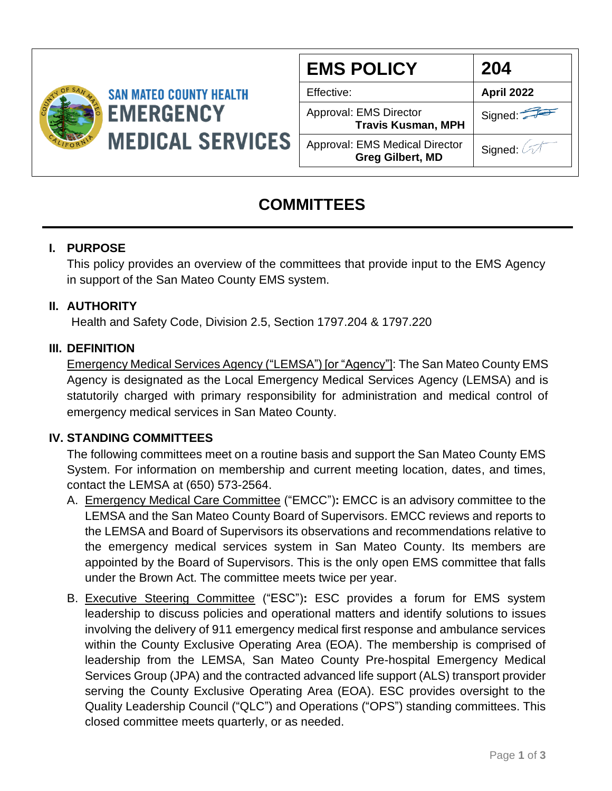

**SAN MATEO COUNTY HEALTH EMERGENCY MEDICAL SERVICES** 

| <b>EMS POLICY</b>                                                | 204        |
|------------------------------------------------------------------|------------|
| Effective:                                                       | April 2022 |
| Approval: EMS Director<br><b>Travis Kusman, MPH</b>              | Signed:    |
| <b>Approval: EMS Medical Director</b><br><b>Greg Gilbert, MD</b> | Signed: 4  |

# **COMMITTEES**

# **I. PURPOSE**

This policy provides an overview of the committees that provide input to the EMS Agency in support of the San Mateo County EMS system.

# **II. AUTHORITY**

Health and Safety Code, Division 2.5, Section 1797.204 & 1797.220

### **III. DEFINITION**

Emergency Medical Services Agency ("LEMSA") [or "Agency"]: The San Mateo County EMS Agency is designated as the Local Emergency Medical Services Agency (LEMSA) and is statutorily charged with primary responsibility for administration and medical control of emergency medical services in San Mateo County.

### **IV. STANDING COMMITTEES**

The following committees meet on a routine basis and support the San Mateo County EMS System. For information on membership and current meeting location, dates, and times, contact the LEMSA at (650) 573-2564.

- A. Emergency Medical Care Committee ("EMCC")**:** EMCC is an advisory committee to the LEMSA and the San Mateo County Board of Supervisors. EMCC reviews and reports to the LEMSA and Board of Supervisors its observations and recommendations relative to the emergency medical services system in San Mateo County. Its members are appointed by the Board of Supervisors. This is the only open EMS committee that falls under the Brown Act. The committee meets twice per year.
- B. Executive Steering Committee ("ESC")**:** ESC provides a forum for EMS system leadership to discuss policies and operational matters and identify solutions to issues involving the delivery of 911 emergency medical first response and ambulance services within the County Exclusive Operating Area (EOA). The membership is comprised of leadership from the LEMSA, San Mateo County Pre-hospital Emergency Medical Services Group (JPA) and the contracted advanced life support (ALS) transport provider serving the County Exclusive Operating Area (EOA). ESC provides oversight to the Quality Leadership Council ("QLC") and Operations ("OPS") standing committees. This closed committee meets quarterly, or as needed.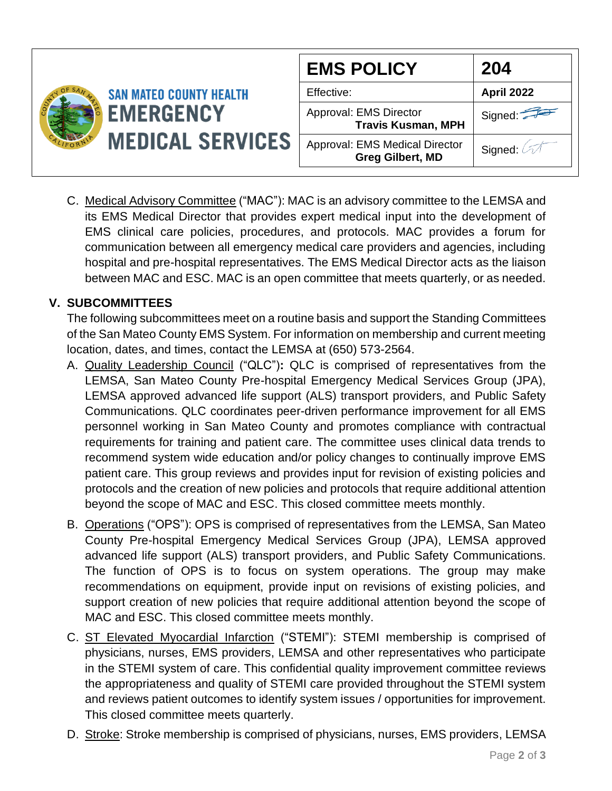|  |                                                                               | <b>EMS POLICY</b>                                         | 204               |
|--|-------------------------------------------------------------------------------|-----------------------------------------------------------|-------------------|
|  | <b>SAN MATEO COUNTY HEALTH</b><br><b>EMERGENCY</b><br><b>MEDICAL SERVICES</b> | Effective:                                                | <b>April 2022</b> |
|  |                                                                               | Approval: EMS Director<br><b>Travis Kusman, MPH</b>       | Signed:           |
|  |                                                                               | Approval: EMS Medical Director<br><b>Greg Gilbert, MD</b> | Signed:           |

C. Medical Advisory Committee ("MAC"): MAC is an advisory committee to the LEMSA and its EMS Medical Director that provides expert medical input into the development of EMS clinical care policies, procedures, and protocols. MAC provides a forum for communication between all emergency medical care providers and agencies, including hospital and pre-hospital representatives. The EMS Medical Director acts as the liaison between MAC and ESC. MAC is an open committee that meets quarterly, or as needed.

# **V. SUBCOMMITTEES**

The following subcommittees meet on a routine basis and support the Standing Committees of the San Mateo County EMS System. For information on membership and current meeting location, dates, and times, contact the LEMSA at (650) 573-2564.

- A. Quality Leadership Council ("QLC")**:** QLC is comprised of representatives from the LEMSA, San Mateo County Pre-hospital Emergency Medical Services Group (JPA), LEMSA approved advanced life support (ALS) transport providers, and Public Safety Communications. QLC coordinates peer-driven performance improvement for all EMS personnel working in San Mateo County and promotes compliance with contractual requirements for training and patient care. The committee uses clinical data trends to recommend system wide education and/or policy changes to continually improve EMS patient care. This group reviews and provides input for revision of existing policies and protocols and the creation of new policies and protocols that require additional attention beyond the scope of MAC and ESC. This closed committee meets monthly.
- B. Operations ("OPS"): OPS is comprised of representatives from the LEMSA, San Mateo County Pre-hospital Emergency Medical Services Group (JPA), LEMSA approved advanced life support (ALS) transport providers, and Public Safety Communications. The function of OPS is to focus on system operations. The group may make recommendations on equipment, provide input on revisions of existing policies, and support creation of new policies that require additional attention beyond the scope of MAC and ESC. This closed committee meets monthly.
- C. ST Elevated Myocardial Infarction ("STEMI"): STEMI membership is comprised of physicians, nurses, EMS providers, LEMSA and other representatives who participate in the STEMI system of care. This confidential quality improvement committee reviews the appropriateness and quality of STEMI care provided throughout the STEMI system and reviews patient outcomes to identify system issues / opportunities for improvement. This closed committee meets quarterly.
- D. Stroke: Stroke membership is comprised of physicians, nurses, EMS providers, LEMSA